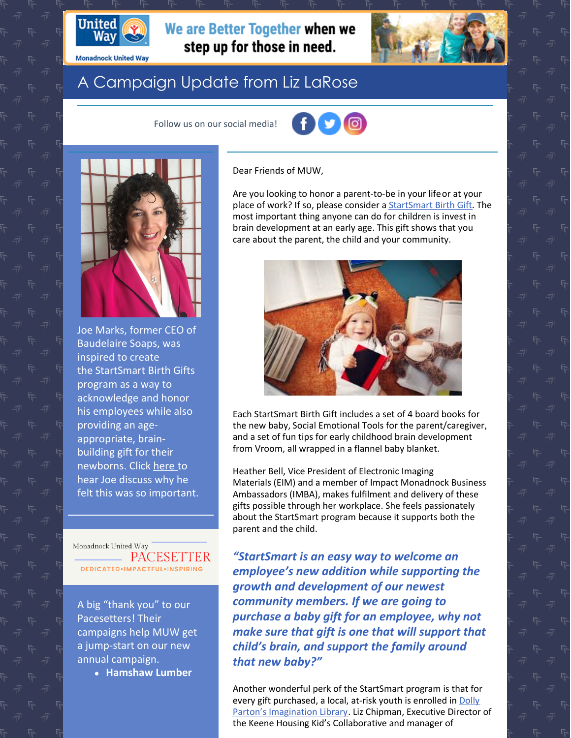

**Monadnock United Way** 



# A Campaign Update from Liz LaRose

Follow us on our social media!





Joe Marks, former CEO of Baudelaire Soaps, was inspired to create the StartSmart Birth Gifts program as a way to acknowledge and honor his employees while also providing an ageappropriate, brainbuilding gift for their newborns. Click [here](https://www.muw.org/impact/startsmart) to hear Joe discuss why he felt this was so important.

Monadnock United Way PACESETTER **DEDICATED** . IMPACTFUL . INSPIRING

A big "thank you" to our Pacesetters! Their campaigns help MUW get a jump-start on our new annual campaign.

**Hamshaw Lumber**

Dear Friends of MUW,

step up for those in need.

Are you looking to honor a parent-to-be in your lifeor at your place of work? If so, please consider a **[StartSmart](https://www.muw.org/impact/startsmart) Birth Gift**. The most important thing anyone can do for children is invest in brain development at an early age. This gift shows that you care about the parent, the child and your community.



Each StartSmart Birth Gift includes a set of 4 board books for the new baby, Social Emotional Tools for the parent/caregiver, and a set of fun tips for early childhood brain development from Vroom, all wrapped in a flannel baby blanket.

Heather Bell, Vice President of Electronic Imaging Materials (EIM) and a member of Impact Monadnock Business Ambassadors (IMBA), makes fulfilment and delivery of these gifts possible through her workplace. She feels passionately about the StartSmart program because it supports both the parent and the child.

*"StartSmart is an easy way to welcome an employee's new addition while supporting the growth and development of our newest community members. If we are going to purchase a baby gift for an employee, why not make sure that gift is one that will support that child's brain, and support the family around that new baby?"*

Another wonderful perk of the StartSmart program is that for every gift [purchased,](https://imaginationlibrary.com/) a local, at-risk youth is enrolled in Dolly Parton's Imagination Library. Liz Chipman, Executive Director of the Keene Housing Kid's Collaborative and manager of